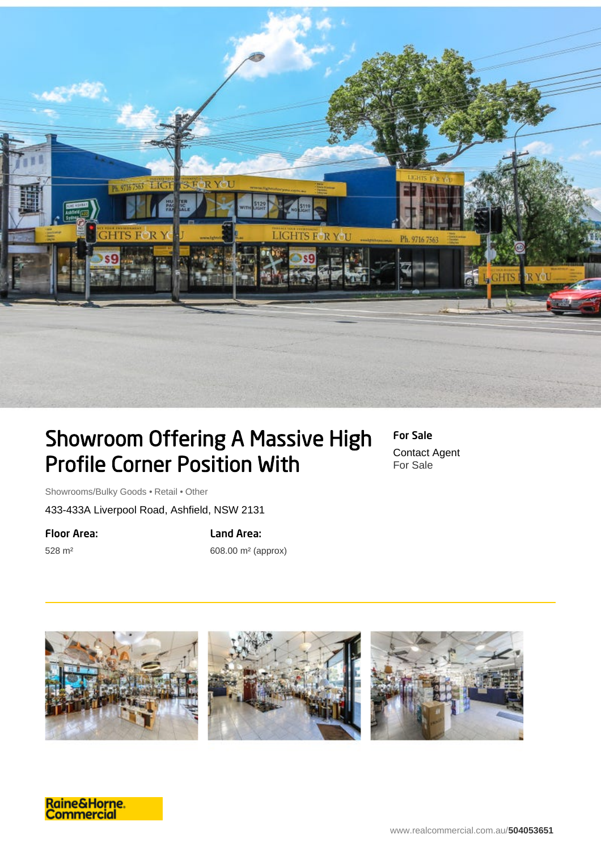

## Showroom Offering A Massive High Profile Corner Position With

For Sale Contact Agent For Sale

Showrooms/Bulky Goods • Retail • Other

433-433A Liverpool Road, Ashfield, NSW 2131

Floor Area:

528 m²

Land Area:

608.00 m² (approx)